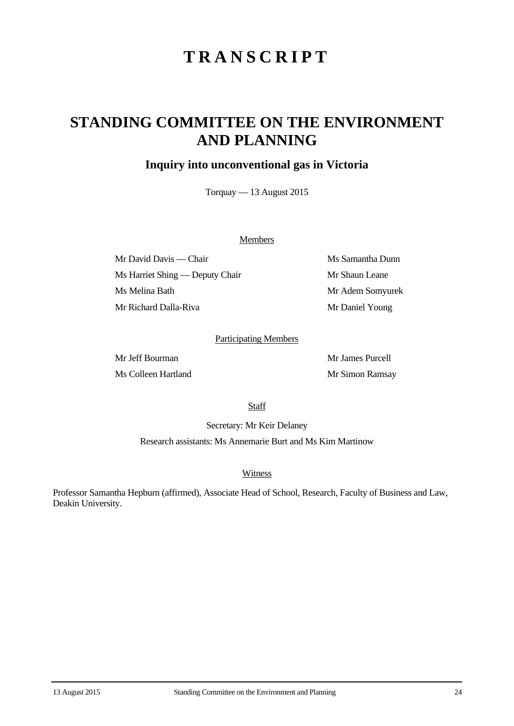# **TRANSCRIPT**

## **STANDING COMMITTEE ON THE ENVIRONMENT AND PLANNING**

### **Inquiry into unconventional gas in Victoria**

Torquay — 13 August 2015

#### **Members**

Mr David Davis — Chair Ms Samantha Dunn Ms Harriet Shing — Deputy Chair Mr Shaun Leane Ms Melina Bath Mr Adem Somyurek Mr Richard Dalla-Riva Mr Daniel Young

#### Participating Members

Mr Jeff Bourman Mr James Purcell Ms Colleen Hartland Mr Simon Ramsay

**Staff** 

Secretary: Mr Keir Delaney

Research assistants: Ms Annemarie Burt and Ms Kim Martinow

**Witness** 

Professor Samantha Hepburn (affirmed), Associate Head of School, Research, Faculty of Business and Law, Deakin University.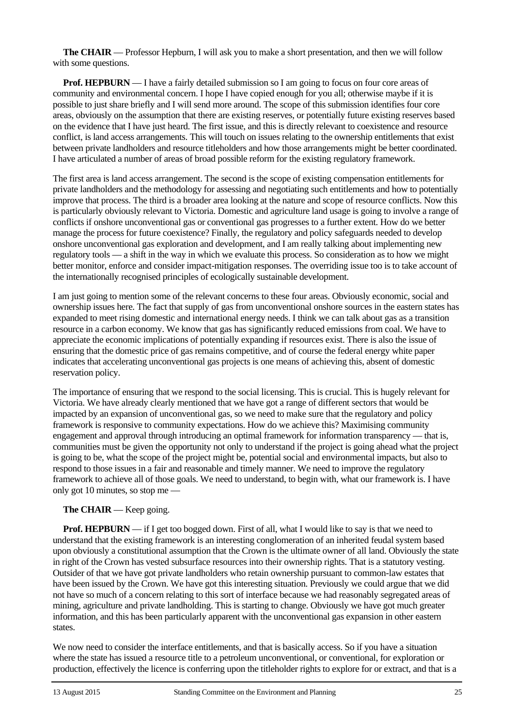**The CHAIR** — Professor Hepburn, I will ask you to make a short presentation, and then we will follow with some questions.

**Prof. HEPBURN** — I have a fairly detailed submission so I am going to focus on four core areas of community and environmental concern. I hope I have copied enough for you all; otherwise maybe if it is possible to just share briefly and I will send more around. The scope of this submission identifies four core areas, obviously on the assumption that there are existing reserves, or potentially future existing reserves based on the evidence that I have just heard. The first issue, and this is directly relevant to coexistence and resource conflict, is land access arrangements. This will touch on issues relating to the ownership entitlements that exist between private landholders and resource titleholders and how those arrangements might be better coordinated. I have articulated a number of areas of broad possible reform for the existing regulatory framework.

The first area is land access arrangement. The second is the scope of existing compensation entitlements for private landholders and the methodology for assessing and negotiating such entitlements and how to potentially improve that process. The third is a broader area looking at the nature and scope of resource conflicts. Now this is particularly obviously relevant to Victoria. Domestic and agriculture land usage is going to involve a range of conflicts if onshore unconventional gas or conventional gas progresses to a further extent. How do we better manage the process for future coexistence? Finally, the regulatory and policy safeguards needed to develop onshore unconventional gas exploration and development, and I am really talking about implementing new regulatory tools — a shift in the way in which we evaluate this process. So consideration as to how we might better monitor, enforce and consider impact-mitigation responses. The overriding issue too is to take account of the internationally recognised principles of ecologically sustainable development.

I am just going to mention some of the relevant concerns to these four areas. Obviously economic, social and ownership issues here. The fact that supply of gas from unconventional onshore sources in the eastern states has expanded to meet rising domestic and international energy needs. I think we can talk about gas as a transition resource in a carbon economy. We know that gas has significantly reduced emissions from coal. We have to appreciate the economic implications of potentially expanding if resources exist. There is also the issue of ensuring that the domestic price of gas remains competitive, and of course the federal energy white paper indicates that accelerating unconventional gas projects is one means of achieving this, absent of domestic reservation policy.

The importance of ensuring that we respond to the social licensing. This is crucial. This is hugely relevant for Victoria. We have already clearly mentioned that we have got a range of different sectors that would be impacted by an expansion of unconventional gas, so we need to make sure that the regulatory and policy framework is responsive to community expectations. How do we achieve this? Maximising community engagement and approval through introducing an optimal framework for information transparency — that is, communities must be given the opportunity not only to understand if the project is going ahead what the project is going to be, what the scope of the project might be, potential social and environmental impacts, but also to respond to those issues in a fair and reasonable and timely manner. We need to improve the regulatory framework to achieve all of those goals. We need to understand, to begin with, what our framework is. I have only got 10 minutes, so stop me —

#### **The CHAIR** — Keep going.

**Prof. HEPBURN** — if I get too bogged down. First of all, what I would like to say is that we need to understand that the existing framework is an interesting conglomeration of an inherited feudal system based upon obviously a constitutional assumption that the Crown is the ultimate owner of all land. Obviously the state in right of the Crown has vested subsurface resources into their ownership rights. That is a statutory vesting. Outsider of that we have got private landholders who retain ownership pursuant to common-law estates that have been issued by the Crown. We have got this interesting situation. Previously we could argue that we did not have so much of a concern relating to this sort of interface because we had reasonably segregated areas of mining, agriculture and private landholding. This is starting to change. Obviously we have got much greater information, and this has been particularly apparent with the unconventional gas expansion in other eastern states.

We now need to consider the interface entitlements, and that is basically access. So if you have a situation where the state has issued a resource title to a petroleum unconventional, or conventional, for exploration or production, effectively the licence is conferring upon the titleholder rights to explore for or extract, and that is a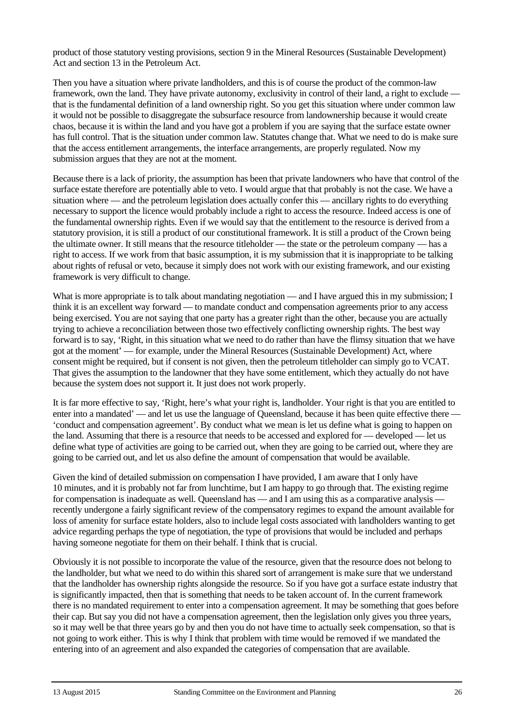product of those statutory vesting provisions, section 9 in the Mineral Resources (Sustainable Development) Act and section 13 in the Petroleum Act.

Then you have a situation where private landholders, and this is of course the product of the common-law framework, own the land. They have private autonomy, exclusivity in control of their land, a right to exclude that is the fundamental definition of a land ownership right. So you get this situation where under common law it would not be possible to disaggregate the subsurface resource from landownership because it would create chaos, because it is within the land and you have got a problem if you are saying that the surface estate owner has full control. That is the situation under common law. Statutes change that. What we need to do is make sure that the access entitlement arrangements, the interface arrangements, are properly regulated. Now my submission argues that they are not at the moment.

Because there is a lack of priority, the assumption has been that private landowners who have that control of the surface estate therefore are potentially able to veto. I would argue that that probably is not the case. We have a situation where — and the petroleum legislation does actually confer this — ancillary rights to do everything necessary to support the licence would probably include a right to access the resource. Indeed access is one of the fundamental ownership rights. Even if we would say that the entitlement to the resource is derived from a statutory provision, it is still a product of our constitutional framework. It is still a product of the Crown being the ultimate owner. It still means that the resource titleholder — the state or the petroleum company — has a right to access. If we work from that basic assumption, it is my submission that it is inappropriate to be talking about rights of refusal or veto, because it simply does not work with our existing framework, and our existing framework is very difficult to change.

What is more appropriate is to talk about mandating negotiation — and I have argued this in my submission; I think it is an excellent way forward — to mandate conduct and compensation agreements prior to any access being exercised. You are not saying that one party has a greater right than the other, because you are actually trying to achieve a reconciliation between those two effectively conflicting ownership rights. The best way forward is to say, 'Right, in this situation what we need to do rather than have the flimsy situation that we have got at the moment' — for example, under the Mineral Resources (Sustainable Development) Act, where consent might be required, but if consent is not given, then the petroleum titleholder can simply go to VCAT. That gives the assumption to the landowner that they have some entitlement, which they actually do not have because the system does not support it. It just does not work properly.

It is far more effective to say, 'Right, here's what your right is, landholder. Your right is that you are entitled to enter into a mandated' — and let us use the language of Queensland, because it has been quite effective there — 'conduct and compensation agreement'. By conduct what we mean is let us define what is going to happen on the land. Assuming that there is a resource that needs to be accessed and explored for — developed — let us define what type of activities are going to be carried out, when they are going to be carried out, where they are going to be carried out, and let us also define the amount of compensation that would be available.

Given the kind of detailed submission on compensation I have provided, I am aware that I only have 10 minutes, and it is probably not far from lunchtime, but I am happy to go through that. The existing regime for compensation is inadequate as well. Queensland has — and I am using this as a comparative analysis recently undergone a fairly significant review of the compensatory regimes to expand the amount available for loss of amenity for surface estate holders, also to include legal costs associated with landholders wanting to get advice regarding perhaps the type of negotiation, the type of provisions that would be included and perhaps having someone negotiate for them on their behalf. I think that is crucial.

Obviously it is not possible to incorporate the value of the resource, given that the resource does not belong to the landholder, but what we need to do within this shared sort of arrangement is make sure that we understand that the landholder has ownership rights alongside the resource. So if you have got a surface estate industry that is significantly impacted, then that is something that needs to be taken account of. In the current framework there is no mandated requirement to enter into a compensation agreement. It may be something that goes before their cap. But say you did not have a compensation agreement, then the legislation only gives you three years, so it may well be that three years go by and then you do not have time to actually seek compensation, so that is not going to work either. This is why I think that problem with time would be removed if we mandated the entering into of an agreement and also expanded the categories of compensation that are available.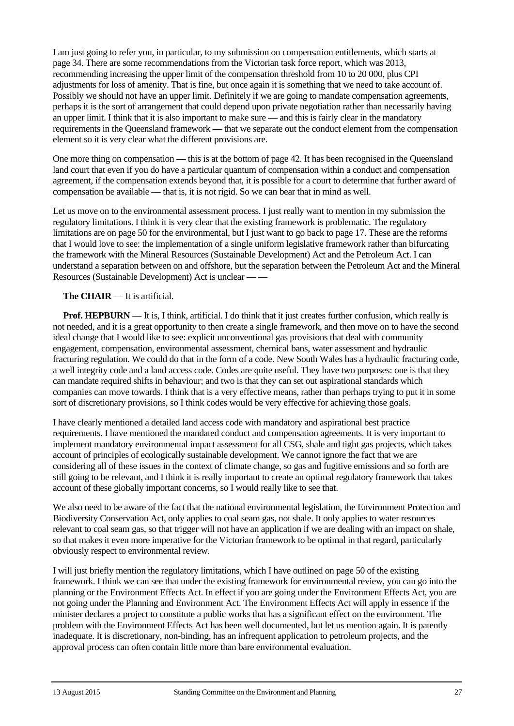I am just going to refer you, in particular, to my submission on compensation entitlements, which starts at page 34. There are some recommendations from the Victorian task force report, which was 2013, recommending increasing the upper limit of the compensation threshold from 10 to 20 000, plus CPI adjustments for loss of amenity. That is fine, but once again it is something that we need to take account of. Possibly we should not have an upper limit. Definitely if we are going to mandate compensation agreements, perhaps it is the sort of arrangement that could depend upon private negotiation rather than necessarily having an upper limit. I think that it is also important to make sure — and this is fairly clear in the mandatory requirements in the Queensland framework — that we separate out the conduct element from the compensation element so it is very clear what the different provisions are.

One more thing on compensation — this is at the bottom of page 42. It has been recognised in the Queensland land court that even if you do have a particular quantum of compensation within a conduct and compensation agreement, if the compensation extends beyond that, it is possible for a court to determine that further award of compensation be available — that is, it is not rigid. So we can bear that in mind as well.

Let us move on to the environmental assessment process. I just really want to mention in my submission the regulatory limitations. I think it is very clear that the existing framework is problematic. The regulatory limitations are on page 50 for the environmental, but I just want to go back to page 17. These are the reforms that I would love to see: the implementation of a single uniform legislative framework rather than bifurcating the framework with the Mineral Resources (Sustainable Development) Act and the Petroleum Act. I can understand a separation between on and offshore, but the separation between the Petroleum Act and the Mineral Resources (Sustainable Development) Act is unclear — —

#### **The CHAIR** — It is artificial.

**Prof. HEPBURN** — It is, I think, artificial. I do think that it just creates further confusion, which really is not needed, and it is a great opportunity to then create a single framework, and then move on to have the second ideal change that I would like to see: explicit unconventional gas provisions that deal with community engagement, compensation, environmental assessment, chemical bans, water assessment and hydraulic fracturing regulation. We could do that in the form of a code. New South Wales has a hydraulic fracturing code, a well integrity code and a land access code. Codes are quite useful. They have two purposes: one is that they can mandate required shifts in behaviour; and two is that they can set out aspirational standards which companies can move towards. I think that is a very effective means, rather than perhaps trying to put it in some sort of discretionary provisions, so I think codes would be very effective for achieving those goals.

I have clearly mentioned a detailed land access code with mandatory and aspirational best practice requirements. I have mentioned the mandated conduct and compensation agreements. It is very important to implement mandatory environmental impact assessment for all CSG, shale and tight gas projects, which takes account of principles of ecologically sustainable development. We cannot ignore the fact that we are considering all of these issues in the context of climate change, so gas and fugitive emissions and so forth are still going to be relevant, and I think it is really important to create an optimal regulatory framework that takes account of these globally important concerns, so I would really like to see that.

We also need to be aware of the fact that the national environmental legislation, the Environment Protection and Biodiversity Conservation Act, only applies to coal seam gas, not shale. It only applies to water resources relevant to coal seam gas, so that trigger will not have an application if we are dealing with an impact on shale, so that makes it even more imperative for the Victorian framework to be optimal in that regard, particularly obviously respect to environmental review.

I will just briefly mention the regulatory limitations, which I have outlined on page 50 of the existing framework. I think we can see that under the existing framework for environmental review, you can go into the planning or the Environment Effects Act. In effect if you are going under the Environment Effects Act, you are not going under the Planning and Environment Act. The Environment Effects Act will apply in essence if the minister declares a project to constitute a public works that has a significant effect on the environment. The problem with the Environment Effects Act has been well documented, but let us mention again. It is patently inadequate. It is discretionary, non-binding, has an infrequent application to petroleum projects, and the approval process can often contain little more than bare environmental evaluation.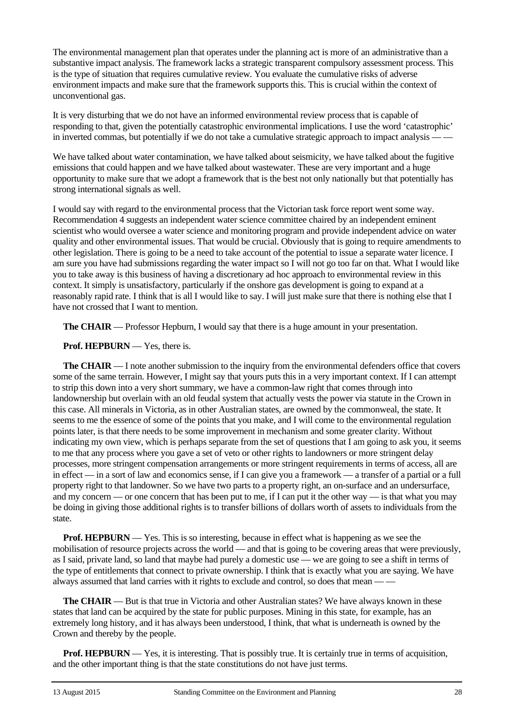The environmental management plan that operates under the planning act is more of an administrative than a substantive impact analysis. The framework lacks a strategic transparent compulsory assessment process. This is the type of situation that requires cumulative review. You evaluate the cumulative risks of adverse environment impacts and make sure that the framework supports this. This is crucial within the context of unconventional gas.

It is very disturbing that we do not have an informed environmental review process that is capable of responding to that, given the potentially catastrophic environmental implications. I use the word 'catastrophic' in inverted commas, but potentially if we do not take a cumulative strategic approach to impact analysis — —

We have talked about water contamination, we have talked about seismicity, we have talked about the fugitive emissions that could happen and we have talked about wastewater. These are very important and a huge opportunity to make sure that we adopt a framework that is the best not only nationally but that potentially has strong international signals as well.

I would say with regard to the environmental process that the Victorian task force report went some way. Recommendation 4 suggests an independent water science committee chaired by an independent eminent scientist who would oversee a water science and monitoring program and provide independent advice on water quality and other environmental issues. That would be crucial. Obviously that is going to require amendments to other legislation. There is going to be a need to take account of the potential to issue a separate water licence. I am sure you have had submissions regarding the water impact so I will not go too far on that. What I would like you to take away is this business of having a discretionary ad hoc approach to environmental review in this context. It simply is unsatisfactory, particularly if the onshore gas development is going to expand at a reasonably rapid rate. I think that is all I would like to say. I will just make sure that there is nothing else that I have not crossed that I want to mention.

**The CHAIR** — Professor Hepburn, I would say that there is a huge amount in your presentation.

**Prof. HEPBURN** — Yes, there is.

**The CHAIR** — I note another submission to the inquiry from the environmental defenders office that covers some of the same terrain. However, I might say that yours puts this in a very important context. If I can attempt to strip this down into a very short summary, we have a common-law right that comes through into landownership but overlain with an old feudal system that actually vests the power via statute in the Crown in this case. All minerals in Victoria, as in other Australian states, are owned by the commonweal, the state. It seems to me the essence of some of the points that you make, and I will come to the environmental regulation points later, is that there needs to be some improvement in mechanism and some greater clarity. Without indicating my own view, which is perhaps separate from the set of questions that I am going to ask you, it seems to me that any process where you gave a set of veto or other rights to landowners or more stringent delay processes, more stringent compensation arrangements or more stringent requirements in terms of access, all are in effect — in a sort of law and economics sense, if I can give you a framework — a transfer of a partial or a full property right to that landowner. So we have two parts to a property right, an on-surface and an undersurface, and my concern — or one concern that has been put to me, if I can put it the other way — is that what you may be doing in giving those additional rights is to transfer billions of dollars worth of assets to individuals from the state.

**Prof. HEPBURN** — Yes. This is so interesting, because in effect what is happening as we see the mobilisation of resource projects across the world — and that is going to be covering areas that were previously, as I said, private land, so land that maybe had purely a domestic use — we are going to see a shift in terms of the type of entitlements that connect to private ownership. I think that is exactly what you are saying. We have always assumed that land carries with it rights to exclude and control, so does that mean — —

**The CHAIR** — But is that true in Victoria and other Australian states? We have always known in these states that land can be acquired by the state for public purposes. Mining in this state, for example, has an extremely long history, and it has always been understood, I think, that what is underneath is owned by the Crown and thereby by the people.

**Prof. HEPBURN** — Yes, it is interesting. That is possibly true. It is certainly true in terms of acquisition, and the other important thing is that the state constitutions do not have just terms.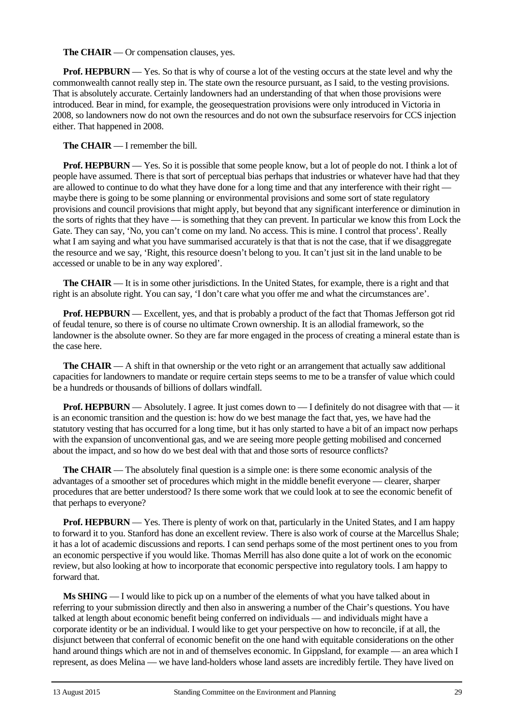**The CHAIR** — Or compensation clauses, yes.

**Prof. HEPBURN** — Yes. So that is why of course a lot of the vesting occurs at the state level and why the commonwealth cannot really step in. The state own the resource pursuant, as I said, to the vesting provisions. That is absolutely accurate. Certainly landowners had an understanding of that when those provisions were introduced. Bear in mind, for example, the geosequestration provisions were only introduced in Victoria in 2008, so landowners now do not own the resources and do not own the subsurface reservoirs for CCS injection either. That happened in 2008.

**The CHAIR** — I remember the bill.

**Prof. HEPBURN** — Yes. So it is possible that some people know, but a lot of people do not. I think a lot of people have assumed. There is that sort of perceptual bias perhaps that industries or whatever have had that they are allowed to continue to do what they have done for a long time and that any interference with their right maybe there is going to be some planning or environmental provisions and some sort of state regulatory provisions and council provisions that might apply, but beyond that any significant interference or diminution in the sorts of rights that they have — is something that they can prevent. In particular we know this from Lock the Gate. They can say, 'No, you can't come on my land. No access. This is mine. I control that process'. Really what I am saying and what you have summarised accurately is that that is not the case, that if we disaggregate the resource and we say, 'Right, this resource doesn't belong to you. It can't just sit in the land unable to be accessed or unable to be in any way explored'.

**The CHAIR** — It is in some other jurisdictions. In the United States, for example, there is a right and that right is an absolute right. You can say, 'I don't care what you offer me and what the circumstances are'.

**Prof. HEPBURN** — Excellent, yes, and that is probably a product of the fact that Thomas Jefferson got rid of feudal tenure, so there is of course no ultimate Crown ownership. It is an allodial framework, so the landowner is the absolute owner. So they are far more engaged in the process of creating a mineral estate than is the case here.

**The CHAIR** — A shift in that ownership or the veto right or an arrangement that actually saw additional capacities for landowners to mandate or require certain steps seems to me to be a transfer of value which could be a hundreds or thousands of billions of dollars windfall.

**Prof. HEPBURN** — Absolutely. I agree. It just comes down to — I definitely do not disagree with that — it is an economic transition and the question is: how do we best manage the fact that, yes, we have had the statutory vesting that has occurred for a long time, but it has only started to have a bit of an impact now perhaps with the expansion of unconventional gas, and we are seeing more people getting mobilised and concerned about the impact, and so how do we best deal with that and those sorts of resource conflicts?

**The CHAIR** — The absolutely final question is a simple one: is there some economic analysis of the advantages of a smoother set of procedures which might in the middle benefit everyone — clearer, sharper procedures that are better understood? Is there some work that we could look at to see the economic benefit of that perhaps to everyone?

**Prof. HEPBURN** — Yes. There is plenty of work on that, particularly in the United States, and I am happy to forward it to you. Stanford has done an excellent review. There is also work of course at the Marcellus Shale; it has a lot of academic discussions and reports. I can send perhaps some of the most pertinent ones to you from an economic perspective if you would like. Thomas Merrill has also done quite a lot of work on the economic review, but also looking at how to incorporate that economic perspective into regulatory tools. I am happy to forward that.

**Ms SHING** — I would like to pick up on a number of the elements of what you have talked about in referring to your submission directly and then also in answering a number of the Chair's questions. You have talked at length about economic benefit being conferred on individuals — and individuals might have a corporate identity or be an individual. I would like to get your perspective on how to reconcile, if at all, the disjunct between that conferral of economic benefit on the one hand with equitable considerations on the other hand around things which are not in and of themselves economic. In Gippsland, for example — an area which I represent, as does Melina — we have land-holders whose land assets are incredibly fertile. They have lived on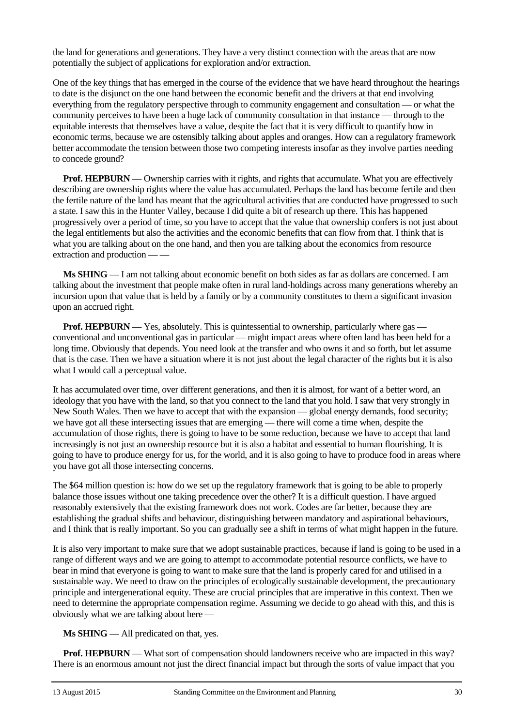the land for generations and generations. They have a very distinct connection with the areas that are now potentially the subject of applications for exploration and/or extraction.

One of the key things that has emerged in the course of the evidence that we have heard throughout the hearings to date is the disjunct on the one hand between the economic benefit and the drivers at that end involving everything from the regulatory perspective through to community engagement and consultation — or what the community perceives to have been a huge lack of community consultation in that instance — through to the equitable interests that themselves have a value, despite the fact that it is very difficult to quantify how in economic terms, because we are ostensibly talking about apples and oranges. How can a regulatory framework better accommodate the tension between those two competing interests insofar as they involve parties needing to concede ground?

**Prof. HEPBURN** — Ownership carries with it rights, and rights that accumulate. What you are effectively describing are ownership rights where the value has accumulated. Perhaps the land has become fertile and then the fertile nature of the land has meant that the agricultural activities that are conducted have progressed to such a state. I saw this in the Hunter Valley, because I did quite a bit of research up there. This has happened progressively over a period of time, so you have to accept that the value that ownership confers is not just about the legal entitlements but also the activities and the economic benefits that can flow from that. I think that is what you are talking about on the one hand, and then you are talking about the economics from resource extraction and production — —

**Ms SHING** — I am not talking about economic benefit on both sides as far as dollars are concerned. I am talking about the investment that people make often in rural land-holdings across many generations whereby an incursion upon that value that is held by a family or by a community constitutes to them a significant invasion upon an accrued right.

**Prof. HEPBURN** — Yes, absolutely. This is quintessential to ownership, particularly where gas conventional and unconventional gas in particular — might impact areas where often land has been held for a long time. Obviously that depends. You need look at the transfer and who owns it and so forth, but let assume that is the case. Then we have a situation where it is not just about the legal character of the rights but it is also what I would call a perceptual value.

It has accumulated over time, over different generations, and then it is almost, for want of a better word, an ideology that you have with the land, so that you connect to the land that you hold. I saw that very strongly in New South Wales. Then we have to accept that with the expansion — global energy demands, food security; we have got all these intersecting issues that are emerging — there will come a time when, despite the accumulation of those rights, there is going to have to be some reduction, because we have to accept that land increasingly is not just an ownership resource but it is also a habitat and essential to human flourishing. It is going to have to produce energy for us, for the world, and it is also going to have to produce food in areas where you have got all those intersecting concerns.

The \$64 million question is: how do we set up the regulatory framework that is going to be able to properly balance those issues without one taking precedence over the other? It is a difficult question. I have argued reasonably extensively that the existing framework does not work. Codes are far better, because they are establishing the gradual shifts and behaviour, distinguishing between mandatory and aspirational behaviours, and I think that is really important. So you can gradually see a shift in terms of what might happen in the future.

It is also very important to make sure that we adopt sustainable practices, because if land is going to be used in a range of different ways and we are going to attempt to accommodate potential resource conflicts, we have to bear in mind that everyone is going to want to make sure that the land is properly cared for and utilised in a sustainable way. We need to draw on the principles of ecologically sustainable development, the precautionary principle and intergenerational equity. These are crucial principles that are imperative in this context. Then we need to determine the appropriate compensation regime. Assuming we decide to go ahead with this, and this is obviously what we are talking about here —

**Ms SHING** — All predicated on that, yes.

**Prof. HEPBURN** — What sort of compensation should landowners receive who are impacted in this way? There is an enormous amount not just the direct financial impact but through the sorts of value impact that you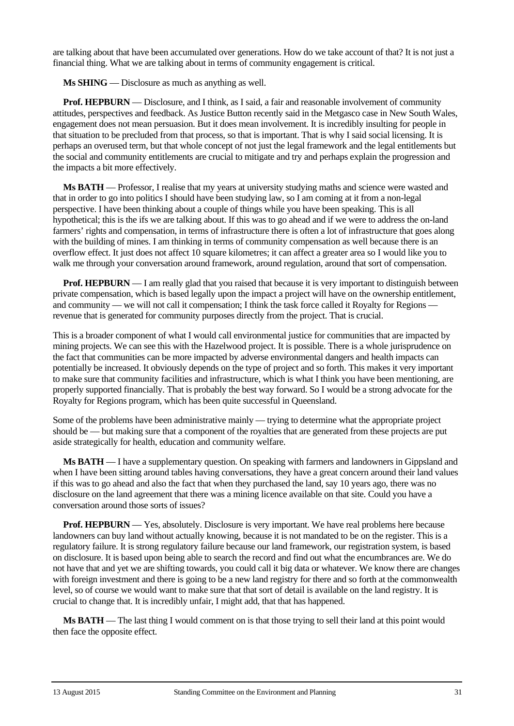are talking about that have been accumulated over generations. How do we take account of that? It is not just a financial thing. What we are talking about in terms of community engagement is critical.

**Ms SHING** — Disclosure as much as anything as well.

**Prof. HEPBURN** — Disclosure, and I think, as I said, a fair and reasonable involvement of community attitudes, perspectives and feedback. As Justice Button recently said in the Metgasco case in New South Wales, engagement does not mean persuasion. But it does mean involvement. It is incredibly insulting for people in that situation to be precluded from that process, so that is important. That is why I said social licensing. It is perhaps an overused term, but that whole concept of not just the legal framework and the legal entitlements but the social and community entitlements are crucial to mitigate and try and perhaps explain the progression and the impacts a bit more effectively.

**Ms BATH** — Professor, I realise that my years at university studying maths and science were wasted and that in order to go into politics I should have been studying law, so I am coming at it from a non-legal perspective. I have been thinking about a couple of things while you have been speaking. This is all hypothetical; this is the ifs we are talking about. If this was to go ahead and if we were to address the on-land farmers' rights and compensation, in terms of infrastructure there is often a lot of infrastructure that goes along with the building of mines. I am thinking in terms of community compensation as well because there is an overflow effect. It just does not affect 10 square kilometres; it can affect a greater area so I would like you to walk me through your conversation around framework, around regulation, around that sort of compensation.

**Prof. HEPBURN** — I am really glad that you raised that because it is very important to distinguish between private compensation, which is based legally upon the impact a project will have on the ownership entitlement, and community — we will not call it compensation; I think the task force called it Royalty for Regions revenue that is generated for community purposes directly from the project. That is crucial.

This is a broader component of what I would call environmental justice for communities that are impacted by mining projects. We can see this with the Hazelwood project. It is possible. There is a whole jurisprudence on the fact that communities can be more impacted by adverse environmental dangers and health impacts can potentially be increased. It obviously depends on the type of project and so forth. This makes it very important to make sure that community facilities and infrastructure, which is what I think you have been mentioning, are properly supported financially. That is probably the best way forward. So I would be a strong advocate for the Royalty for Regions program, which has been quite successful in Queensland.

Some of the problems have been administrative mainly — trying to determine what the appropriate project should be — but making sure that a component of the royalties that are generated from these projects are put aside strategically for health, education and community welfare.

**Ms BATH** — I have a supplementary question. On speaking with farmers and landowners in Gippsland and when I have been sitting around tables having conversations, they have a great concern around their land values if this was to go ahead and also the fact that when they purchased the land, say 10 years ago, there was no disclosure on the land agreement that there was a mining licence available on that site. Could you have a conversation around those sorts of issues?

**Prof. HEPBURN** — Yes, absolutely. Disclosure is very important. We have real problems here because landowners can buy land without actually knowing, because it is not mandated to be on the register. This is a regulatory failure. It is strong regulatory failure because our land framework, our registration system, is based on disclosure. It is based upon being able to search the record and find out what the encumbrances are. We do not have that and yet we are shifting towards, you could call it big data or whatever. We know there are changes with foreign investment and there is going to be a new land registry for there and so forth at the commonwealth level, so of course we would want to make sure that that sort of detail is available on the land registry. It is crucial to change that. It is incredibly unfair, I might add, that that has happened.

**Ms BATH** — The last thing I would comment on is that those trying to sell their land at this point would then face the opposite effect.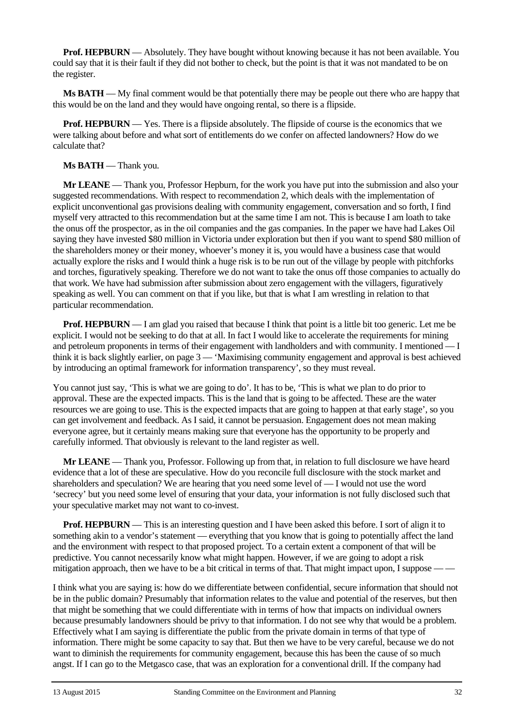**Prof. HEPBURN** — Absolutely. They have bought without knowing because it has not been available. You could say that it is their fault if they did not bother to check, but the point is that it was not mandated to be on the register.

**Ms BATH** — My final comment would be that potentially there may be people out there who are happy that this would be on the land and they would have ongoing rental, so there is a flipside.

**Prof. HEPBURN** — Yes. There is a flipside absolutely. The flipside of course is the economics that we were talking about before and what sort of entitlements do we confer on affected landowners? How do we calculate that?

#### **Ms BATH** — Thank you.

**Mr LEANE** — Thank you, Professor Hepburn, for the work you have put into the submission and also your suggested recommendations. With respect to recommendation 2, which deals with the implementation of explicit unconventional gas provisions dealing with community engagement, conversation and so forth, I find myself very attracted to this recommendation but at the same time I am not. This is because I am loath to take the onus off the prospector, as in the oil companies and the gas companies. In the paper we have had Lakes Oil saying they have invested \$80 million in Victoria under exploration but then if you want to spend \$80 million of the shareholders money or their money, whoever's money it is, you would have a business case that would actually explore the risks and I would think a huge risk is to be run out of the village by people with pitchforks and torches, figuratively speaking. Therefore we do not want to take the onus off those companies to actually do that work. We have had submission after submission about zero engagement with the villagers, figuratively speaking as well. You can comment on that if you like, but that is what I am wrestling in relation to that particular recommendation.

**Prof. HEPBURN** — I am glad you raised that because I think that point is a little bit too generic. Let me be explicit. I would not be seeking to do that at all. In fact I would like to accelerate the requirements for mining and petroleum proponents in terms of their engagement with landholders and with community. I mentioned — I think it is back slightly earlier, on page 3 — 'Maximising community engagement and approval is best achieved by introducing an optimal framework for information transparency', so they must reveal.

You cannot just say, 'This is what we are going to do'. It has to be, 'This is what we plan to do prior to approval. These are the expected impacts. This is the land that is going to be affected. These are the water resources we are going to use. This is the expected impacts that are going to happen at that early stage', so you can get involvement and feedback. As I said, it cannot be persuasion. Engagement does not mean making everyone agree, but it certainly means making sure that everyone has the opportunity to be properly and carefully informed. That obviously is relevant to the land register as well.

**Mr LEANE** — Thank you, Professor. Following up from that, in relation to full disclosure we have heard evidence that a lot of these are speculative. How do you reconcile full disclosure with the stock market and shareholders and speculation? We are hearing that you need some level of — I would not use the word 'secrecy' but you need some level of ensuring that your data, your information is not fully disclosed such that your speculative market may not want to co-invest.

**Prof. HEPBURN** — This is an interesting question and I have been asked this before. I sort of align it to something akin to a vendor's statement — everything that you know that is going to potentially affect the land and the environment with respect to that proposed project. To a certain extent a component of that will be predictive. You cannot necessarily know what might happen. However, if we are going to adopt a risk mitigation approach, then we have to be a bit critical in terms of that. That might impact upon, I suppose  $-\frac{1}{2}$ 

I think what you are saying is: how do we differentiate between confidential, secure information that should not be in the public domain? Presumably that information relates to the value and potential of the reserves, but then that might be something that we could differentiate with in terms of how that impacts on individual owners because presumably landowners should be privy to that information. I do not see why that would be a problem. Effectively what I am saying is differentiate the public from the private domain in terms of that type of information. There might be some capacity to say that. But then we have to be very careful, because we do not want to diminish the requirements for community engagement, because this has been the cause of so much angst. If I can go to the Metgasco case, that was an exploration for a conventional drill. If the company had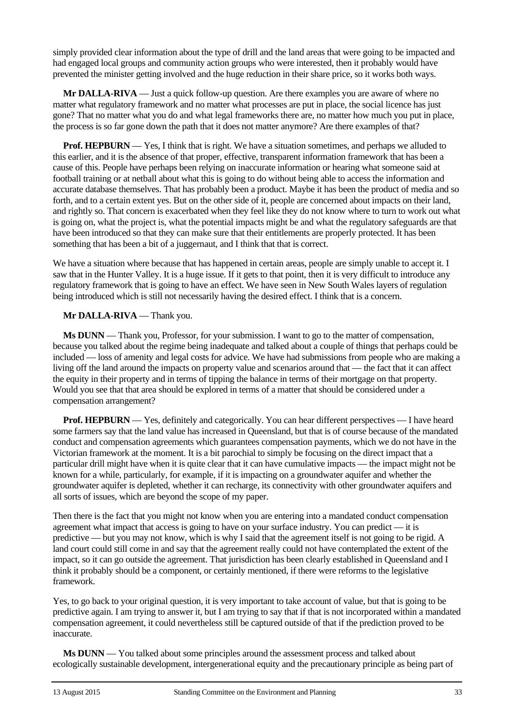simply provided clear information about the type of drill and the land areas that were going to be impacted and had engaged local groups and community action groups who were interested, then it probably would have prevented the minister getting involved and the huge reduction in their share price, so it works both ways.

**Mr DALLA-RIVA** — Just a quick follow-up question. Are there examples you are aware of where no matter what regulatory framework and no matter what processes are put in place, the social licence has just gone? That no matter what you do and what legal frameworks there are, no matter how much you put in place, the process is so far gone down the path that it does not matter anymore? Are there examples of that?

**Prof. HEPBURN** — Yes, I think that is right. We have a situation sometimes, and perhaps we alluded to this earlier, and it is the absence of that proper, effective, transparent information framework that has been a cause of this. People have perhaps been relying on inaccurate information or hearing what someone said at football training or at netball about what this is going to do without being able to access the information and accurate database themselves. That has probably been a product. Maybe it has been the product of media and so forth, and to a certain extent yes. But on the other side of it, people are concerned about impacts on their land, and rightly so. That concern is exacerbated when they feel like they do not know where to turn to work out what is going on, what the project is, what the potential impacts might be and what the regulatory safeguards are that have been introduced so that they can make sure that their entitlements are properly protected. It has been something that has been a bit of a juggernaut, and I think that that is correct.

We have a situation where because that has happened in certain areas, people are simply unable to accept it. I saw that in the Hunter Valley. It is a huge issue. If it gets to that point, then it is very difficult to introduce any regulatory framework that is going to have an effect. We have seen in New South Wales layers of regulation being introduced which is still not necessarily having the desired effect. I think that is a concern.

#### **Mr DALLA-RIVA** — Thank you.

**Ms DUNN** — Thank you, Professor, for your submission. I want to go to the matter of compensation, because you talked about the regime being inadequate and talked about a couple of things that perhaps could be included — loss of amenity and legal costs for advice. We have had submissions from people who are making a living off the land around the impacts on property value and scenarios around that — the fact that it can affect the equity in their property and in terms of tipping the balance in terms of their mortgage on that property. Would you see that that area should be explored in terms of a matter that should be considered under a compensation arrangement?

**Prof. HEPBURN** — Yes, definitely and categorically. You can hear different perspectives — I have heard some farmers say that the land value has increased in Queensland, but that is of course because of the mandated conduct and compensation agreements which guarantees compensation payments, which we do not have in the Victorian framework at the moment. It is a bit parochial to simply be focusing on the direct impact that a particular drill might have when it is quite clear that it can have cumulative impacts — the impact might not be known for a while, particularly, for example, if it is impacting on a groundwater aquifer and whether the groundwater aquifer is depleted, whether it can recharge, its connectivity with other groundwater aquifers and all sorts of issues, which are beyond the scope of my paper.

Then there is the fact that you might not know when you are entering into a mandated conduct compensation agreement what impact that access is going to have on your surface industry. You can predict — it is predictive — but you may not know, which is why I said that the agreement itself is not going to be rigid. A land court could still come in and say that the agreement really could not have contemplated the extent of the impact, so it can go outside the agreement. That jurisdiction has been clearly established in Queensland and I think it probably should be a component, or certainly mentioned, if there were reforms to the legislative framework.

Yes, to go back to your original question, it is very important to take account of value, but that is going to be predictive again. I am trying to answer it, but I am trying to say that if that is not incorporated within a mandated compensation agreement, it could nevertheless still be captured outside of that if the prediction proved to be inaccurate.

**Ms DUNN** — You talked about some principles around the assessment process and talked about ecologically sustainable development, intergenerational equity and the precautionary principle as being part of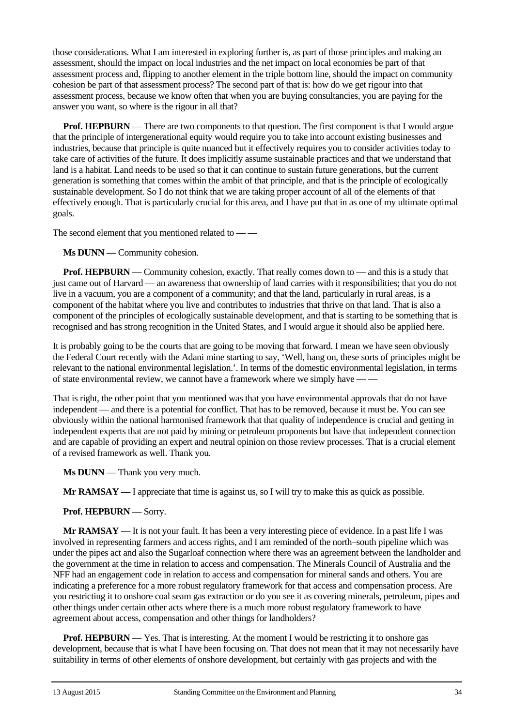those considerations. What I am interested in exploring further is, as part of those principles and making an assessment, should the impact on local industries and the net impact on local economies be part of that assessment process and, flipping to another element in the triple bottom line, should the impact on community cohesion be part of that assessment process? The second part of that is: how do we get rigour into that assessment process, because we know often that when you are buying consultancies, you are paying for the answer you want, so where is the rigour in all that?

**Prof. HEPBURN** — There are two components to that question. The first component is that I would argue that the principle of intergenerational equity would require you to take into account existing businesses and industries, because that principle is quite nuanced but it effectively requires you to consider activities today to take care of activities of the future. It does implicitly assume sustainable practices and that we understand that land is a habitat. Land needs to be used so that it can continue to sustain future generations, but the current generation is something that comes within the ambit of that principle, and that is the principle of ecologically sustainable development. So I do not think that we are taking proper account of all of the elements of that effectively enough. That is particularly crucial for this area, and I have put that in as one of my ultimate optimal goals.

The second element that you mentioned related to — —

**Ms DUNN** — Community cohesion.

**Prof. HEPBURN** — Community cohesion, exactly. That really comes down to — and this is a study that just came out of Harvard — an awareness that ownership of land carries with it responsibilities; that you do not live in a vacuum, you are a component of a community; and that the land, particularly in rural areas, is a component of the habitat where you live and contributes to industries that thrive on that land. That is also a component of the principles of ecologically sustainable development, and that is starting to be something that is recognised and has strong recognition in the United States, and I would argue it should also be applied here.

It is probably going to be the courts that are going to be moving that forward. I mean we have seen obviously the Federal Court recently with the Adani mine starting to say, 'Well, hang on, these sorts of principles might be relevant to the national environmental legislation.'. In terms of the domestic environmental legislation, in terms of state environmental review, we cannot have a framework where we simply have — —

That is right, the other point that you mentioned was that you have environmental approvals that do not have independent — and there is a potential for conflict. That has to be removed, because it must be. You can see obviously within the national harmonised framework that that quality of independence is crucial and getting in independent experts that are not paid by mining or petroleum proponents but have that independent connection and are capable of providing an expert and neutral opinion on those review processes. That is a crucial element of a revised framework as well. Thank you.

**Ms DUNN** — Thank you very much.

**Mr RAMSAY** — I appreciate that time is against us, so I will try to make this as quick as possible.

#### **Prof. HEPBURN** — Sorry.

**Mr RAMSAY** — It is not your fault. It has been a very interesting piece of evidence. In a past life I was involved in representing farmers and access rights, and I am reminded of the north–south pipeline which was under the pipes act and also the Sugarloaf connection where there was an agreement between the landholder and the government at the time in relation to access and compensation. The Minerals Council of Australia and the NFF had an engagement code in relation to access and compensation for mineral sands and others. You are indicating a preference for a more robust regulatory framework for that access and compensation process. Are you restricting it to onshore coal seam gas extraction or do you see it as covering minerals, petroleum, pipes and other things under certain other acts where there is a much more robust regulatory framework to have agreement about access, compensation and other things for landholders?

**Prof. HEPBURN** — Yes. That is interesting. At the moment I would be restricting it to onshore gas development, because that is what I have been focusing on. That does not mean that it may not necessarily have suitability in terms of other elements of onshore development, but certainly with gas projects and with the